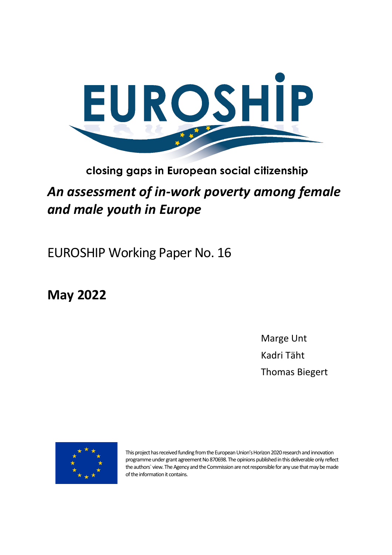

## closing gaps in European social citizenship

# *An assessment of in-work poverty among female and male youth in Europe*

EUROSHIP Working Paper No. 16

**May 2022**

**Marge Unt**  Kadri Täht Thomas Biegert



This project has received funding from the European Union's Horizon 2020 research and innovation programme under grant agreement No 870698. The opinions published in this deliverable only reflect the authors` view. The Agency and the Commission are not responsible for any use that may be made of the information it contains.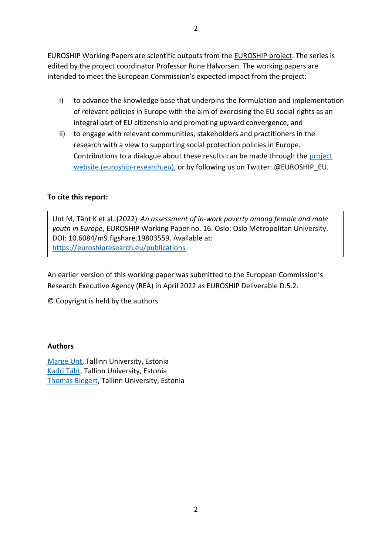EUROSHIP Working Papers are scientific outputs from the [EUROSHIP project.](https://euroship-research.eu/) The series is edited by the project coordinator Professor Rune Halvorsen. The working papers are intended to meet the European Commission's expected impact from the project:

- i) to advance the knowledge base that underpins the formulation and implementation of relevant policies in Europe with the aim of exercising the EU social rights as an integral part of EU citizenship and promoting upward convergence, and
- ii) to engage with relevant communities, stakeholders and practitioners in the research with a view to supporting social protection policies in Europe. Contributions to a dialogue about these results can be made through the [project](https://euroship-research.eu/)  [website \(euroship-research.eu\),](https://euroship-research.eu/) or by following us on Twitter: @EUROSHIP\_EU.

#### **To cite this report:**

Unt M, Täht K et al. (2022) *An assessment of in-work poverty among female and male youth in Europe*, EUROSHIP Working Paper no. 16. Oslo: Oslo Metropolitan University. DOI: 10.6084/m9.figshare.19803559. Available at: <https://euroshipresearch.eu/publications>

An earlier version of this working paper was submitted to the European Commission's Research Executive Agency (REA) in April 2022 as EUROSHIP Deliverable D.5.2.

© Copyright is held by the authors

#### **Authors**

[Marge Unt,](mailto:marge.unt@tlu.ee) Tallinn University, Estonia [Kadri Täht,](mailto:kadri.taht@tlu.ee) Tallinn University, Estonia [Thomas Biegert,](mailto:T.Biegert@lse.ac.uk) Tallinn University, Estonia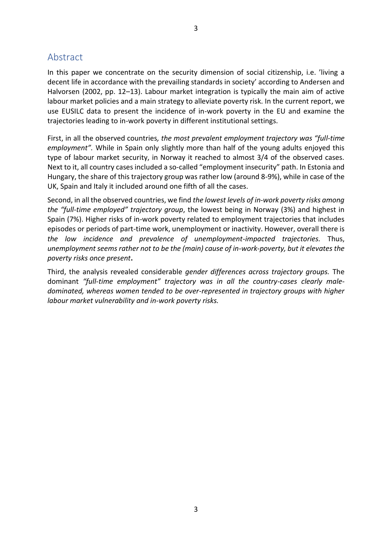## <span id="page-2-0"></span>Abstract

In this paper we concentrate on the security dimension of social citizenship, i.e. 'living a decent life in accordance with the prevailing standards in society' according to Andersen and Halvorsen (2002, pp. 12–13). Labour market integration is typically the main aim of active labour market policies and a main strategy to alleviate poverty risk. In the current report, we use EUSILC data to present the incidence of in-work poverty in the EU and examine the trajectories leading to in-work poverty in different institutional settings.

First, in all the observed countries*, the most prevalent employment trajectory was "full-time employment".* While in Spain only slightly more than half of the young adults enjoyed this type of labour market security, in Norway it reached to almost 3/4 of the observed cases. Next to it, all country cases included a so-called "employment insecurity" path. In Estonia and Hungary, the share of this trajectory group was rather low (around 8-9%), while in case of the UK, Spain and Italy it included around one fifth of all the cases.

Second, in all the observed countries, we find *the lowest levels of in-work poverty risks among the "full-time employed" trajectory group*, the lowest being in Norway (3%) and highest in Spain (7%). Higher risks of in-work poverty related to employment trajectories that includes episodes or periods of part-time work, unemployment or inactivity. However, overall there is *the low incidence and prevalence of unemployment-impacted trajectories.* Thus, *unemployment seems rather not to be the (main) cause of in-work-poverty, but it elevates the poverty risks once present***.**

Third, the analysis revealed considerable *gender differences across trajectory groups.* The dominant *"full-time employment" trajectory was in all the country-cases clearly maledominated, whereas women tended to be over-represented in trajectory groups with higher labour market vulnerability and in-work poverty risks.*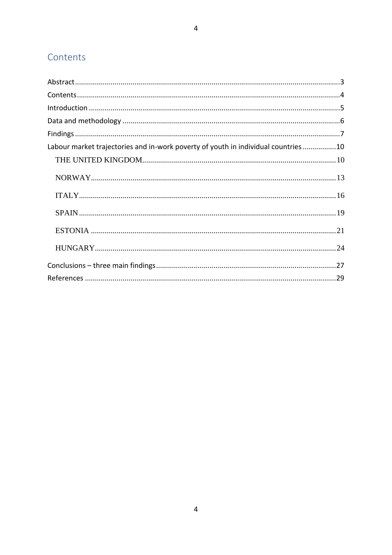## <span id="page-3-0"></span>Contents

| Labour market trajectories and in-work poverty of youth in individual countries10 |  |
|-----------------------------------------------------------------------------------|--|
|                                                                                   |  |
|                                                                                   |  |
|                                                                                   |  |
|                                                                                   |  |
|                                                                                   |  |
|                                                                                   |  |
|                                                                                   |  |
|                                                                                   |  |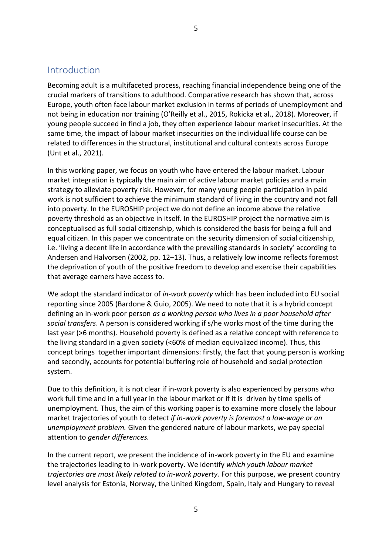<span id="page-4-0"></span>Becoming adult is a multifaceted process, reaching financial independence being one of the crucial markers of transitions to adulthood. Comparative research has shown that, across Europe, youth often face labour market exclusion in terms of periods of unemployment and not being in education nor training (O'Reilly et al., 2015, Rokicka et al., 2018). Moreover, if young people succeed in find a job, they often experience labour market insecurities. At the same time, the impact of labour market insecurities on the individual life course can be related to differences in the structural, institutional and cultural contexts across Europe (Unt et al., 2021).

In this working paper, we focus on youth who have entered the labour market. Labour market integration is typically the main aim of active labour market policies and a main strategy to alleviate poverty risk. However, for many young people participation in paid work is not sufficient to achieve the minimum standard of living in the country and not fall into poverty. In the EUROSHIP project we do not define an income above the relative poverty threshold as an objective in itself. In the EUROSHIP project the normative aim is conceptualised as full social citizenship, which is considered the basis for being a full and equal citizen. In this paper we concentrate on the security dimension of social citizenship, i.e. 'living a decent life in accordance with the prevailing standards in society' according to Andersen and Halvorsen (2002, pp. 12–13). Thus, a relatively low income reflects foremost the deprivation of youth of the positive freedom to develop and exercise their capabilities that average earners have access to.

We adopt the standard indicator of *in-work poverty* which has been included into EU social reporting since 2005 (Bardone & Guio, 2005). We need to note that it is a hybrid concept defining an in-work poor person *as a working person who lives in a poor household after social transfers*. A person is considered working if s/he works most of the time during the last year (>6 months). Household poverty is defined as a relative concept with reference to the living standard in a given society (<60% of median equivalized income). Thus, this concept brings together important dimensions: firstly, the fact that young person is working and secondly, accounts for potential buffering role of household and social protection system.

Due to this definition, it is not clear if in-work poverty is also experienced by persons who work full time and in a full year in the labour market or if it is driven by time spells of unemployment. Thus, the aim of this working paper is to examine more closely the labour market trajectories of youth to detect *if in-work poverty is foremost a low-wage or an unemployment problem.* Given the gendered nature of labour markets, we pay special attention to *gender differences.*

In the current report, we present the incidence of in-work poverty in the EU and examine the trajectories leading to in-work poverty. We identify *which youth labour market trajectories are most likely related to in-work poverty.* For this purpose, we present country level analysis for Estonia, Norway, the United Kingdom, Spain, Italy and Hungary to reveal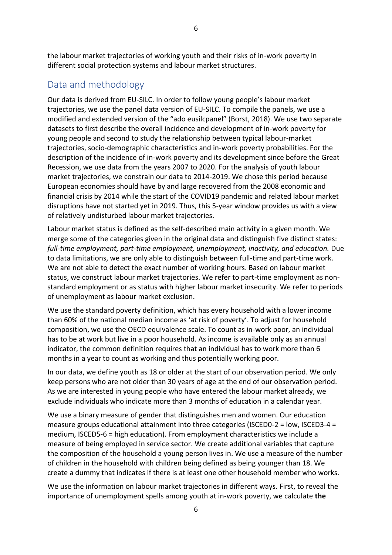the labour market trajectories of working youth and their risks of in-work poverty in different social protection systems and labour market structures.

### <span id="page-5-0"></span>Data and methodology

Our data is derived from EU-SILC. In order to follow young people's labour market trajectories, we use the panel data version of EU-SILC. To compile the panels, we use a modified and extended version of the "ado eusilcpanel" (Borst, 2018). We use two separate datasets to first describe the overall incidence and development of in-work poverty for young people and second to study the relationship between typical labour-market trajectories, socio-demographic characteristics and in-work poverty probabilities. For the description of the incidence of in-work poverty and its development since before the Great Recession, we use data from the years 2007 to 2020. For the analysis of youth labour market trajectories, we constrain our data to 2014-2019. We chose this period because European economies should have by and large recovered from the 2008 economic and financial crisis by 2014 while the start of the COVID19 pandemic and related labour market disruptions have not started yet in 2019. Thus, this 5-year window provides us with a view of relatively undisturbed labour market trajectories.

Labour market status is defined as the self-described main activity in a given month. We merge some of the categories given in the original data and distinguish five distinct states: *full-time employment, part-time employment, unemployment, inactivity, and education.* Due to data limitations, we are only able to distinguish between full-time and part-time work. We are not able to detect the exact number of working hours. Based on labour market status, we construct labour market trajectories. We refer to part-time employment as nonstandard employment or as status with higher labour market insecurity. We refer to periods of unemployment as labour market exclusion.

We use the standard poverty definition, which has every household with a lower income than 60% of the national median income as 'at risk of poverty'. To adjust for household composition, we use the OECD equivalence scale. To count as in-work poor, an individual has to be at work but live in a poor household. As income is available only as an annual indicator, the common definition requires that an individual has to work more than 6 months in a year to count as working and thus potentially working poor.

In our data, we define youth as 18 or older at the start of our observation period. We only keep persons who are not older than 30 years of age at the end of our observation period. As we are interested in young people who have entered the labour market already, we exclude individuals who indicate more than 3 months of education in a calendar year.

We use a binary measure of gender that distinguishes men and women. Our education measure groups educational attainment into three categories (ISCED0-2 = low, ISCED3-4 = medium, ISCED5-6 = high education). From employment characteristics we include a measure of being employed in service sector. We create additional variables that capture the composition of the household a young person lives in. We use a measure of the number of children in the household with children being defined as being younger than 18. We create a dummy that indicates if there is at least one other household member who works.

We use the information on labour market trajectories in different ways. First, to reveal the importance of unemployment spells among youth at in-work poverty, we calculate **the**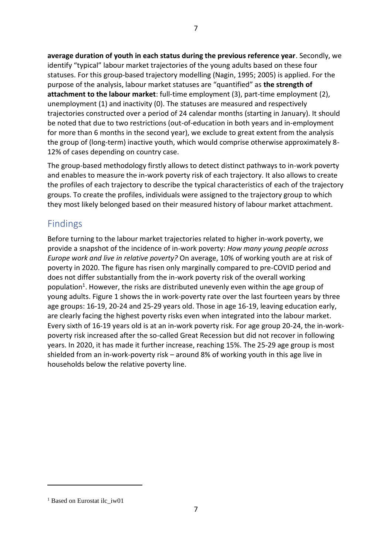**average duration of youth in each status during the previous reference year**. Secondly, we identify "typical" labour market trajectories of the young adults based on these four statuses. For this group-based trajectory modelling (Nagin, 1995; 2005) is applied. For the purpose of the analysis, labour market statuses are "quantified" as **the strength of attachment to the labour market**: full-time employment (3), part-time employment (2), unemployment (1) and inactivity (0). The statuses are measured and respectively trajectories constructed over a period of 24 calendar months (starting in January). It should be noted that due to two restrictions (out-of-education in both years and in-employment for more than 6 months in the second year), we exclude to great extent from the analysis the group of (long-term) inactive youth, which would comprise otherwise approximately 8- 12% of cases depending on country case.

The group-based methodology firstly allows to detect distinct pathways to in-work poverty and enables to measure the in-work poverty risk of each trajectory. It also allows to create the profiles of each trajectory to describe the typical characteristics of each of the trajectory groups. To create the profiles, individuals were assigned to the trajectory group to which they most likely belonged based on their measured history of labour market attachment.

## <span id="page-6-0"></span>Findings

Before turning to the labour market trajectories related to higher in-work poverty, we provide a snapshot of the incidence of in-work poverty: *How many young people across Europe work and live in relative poverty?* On average, 10% of working youth are at risk of poverty in 2020. The figure has risen only marginally compared to pre-COVID period and does not differ substantially from the in-work poverty risk of the overall working population<sup>1</sup>. However, the risks are distributed unevenly even within the age group of young adults. Figure 1 shows the in work-poverty rate over the last fourteen years by three age groups: 16-19, 20-24 and 25-29 years old. Those in age 16-19, leaving education early, are clearly facing the highest poverty risks even when integrated into the labour market. Every sixth of 16-19 years old is at an in-work poverty risk. For age group 20-24, the in-workpoverty risk increased after the so-called Great Recession but did not recover in following years. In 2020, it has made it further increase, reaching 15%. The 25-29 age group is most shielded from an in-work-poverty risk – around 8% of working youth in this age live in households below the relative poverty line.

<sup>&</sup>lt;sup>1</sup> Based on Eurostat ilc\_iw01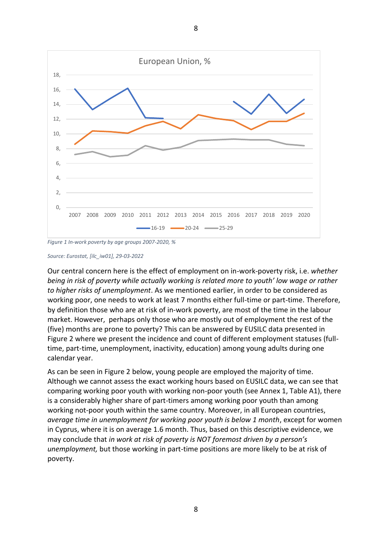

*Figure 1 In-work poverty by age groups 2007-2020, %*

*Source: Eurostat, [ilc\_iw01], 29-03-2022*

Our central concern here is the effect of employment on in-work-poverty risk, i.e. *whether being in risk of poverty while actually working is related more to youth' low wage or rather to higher risks of unemployment*. As we mentioned earlier, in order to be considered as working poor, one needs to work at least 7 months either full-time or part-time. Therefore, by definition those who are at risk of in-work poverty, are most of the time in the labour market. However, perhaps only those who are mostly out of employment the rest of the (five) months are prone to poverty? This can be answered by EUSILC data presented in Figure 2 where we present the incidence and count of different employment statuses (fulltime, part-time, unemployment, inactivity, education) among young adults during one calendar year.

As can be seen in Figure 2 below, young people are employed the majority of time. Although we cannot assess the exact working hours based on EUSILC data, we can see that comparing working poor youth with working non-poor youth (see Annex 1, Table A1), there is a considerably higher share of part-timers among working poor youth than among working not-poor youth within the same country. Moreover, in all European countries, *average time in unemployment for working poor youth is below 1 month*, except for women in Cyprus, where it is on average 1.6 month. Thus, based on this descriptive evidence, we may conclude that *in work at risk of poverty is NOT foremost driven by a person's unemployment,* but those working in part-time positions are more likely to be at risk of poverty.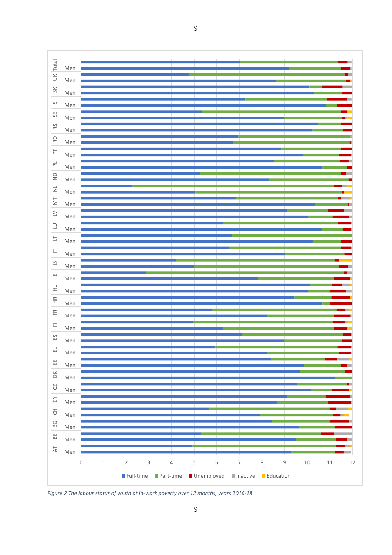

9

*Figure 2 The labour status of youth at in-work poverty over 12 months, years 2016-18*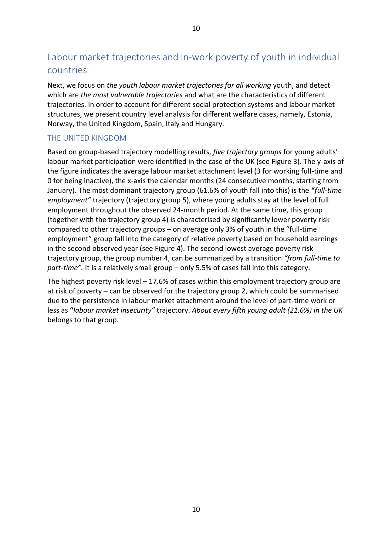## <span id="page-9-0"></span>Labour market trajectories and in-work poverty of youth in individual countries

Next, we focus on *the youth labour market trajectories for all working* youth, and detect which are *the most vulnerable trajectories* and what are the characteristics of different trajectories. In order to account for different social protection systems and labour market structures, we present country level analysis for different welfare cases, namely, Estonia, Norway, the United Kingdom, Spain, Italy and Hungary.

### <span id="page-9-1"></span>THE UNITED KINGDOM

Based on group-based trajectory modelling results, *five trajectory groups* for young adults' labour market participation were identified in the case of the UK (see Figure 3). The y-axis of the figure indicates the average labour market attachment level (3 for working full-time and 0 for being inactive), the x-axis the calendar months (24 consecutive months, starting from January). The most dominant trajectory group (61.6% of youth fall into this) is the **"***full-time employment"* trajectory (trajectory group 5), where young adults stay at the level of full employment throughout the observed 24-month period. At the same time, this group (together with the trajectory group 4) is characterised by significantly lower poverty risk compared to other trajectory groups – on average only 3% of youth in the "full-time employment" group fall into the category of relative poverty based on household earnings in the second observed year (see Figure 4). The second lowest average poverty risk trajectory group, the group number 4, can be summarized by a transition *"from full-time to part-time".* It is a relatively small group – only 5.5% of cases fall into this category.

The highest poverty risk level – 17.6% of cases within this employment trajectory group are at risk of poverty – can be observed for the trajectory group 2, which could be summarised due to the persistence in labour market attachment around the level of part-time work or less as **"***labour market insecurity"* trajectory. *About every fifth young adult (21.6%) in the UK* belongs to that group.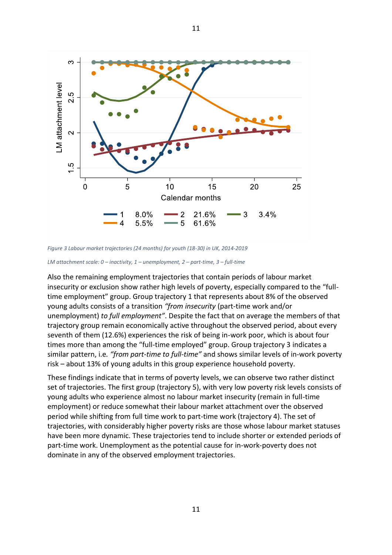

*Figure 3 Labour market trajectories (24 months) for youth (18-30) in UK, 2014-2019*

*LM attachment scale: 0 – inactivity, 1 – unemployment, 2 – part-time, 3 – full-time*

Also the remaining employment trajectories that contain periods of labour market insecurity or exclusion show rather high levels of poverty, especially compared to the "fulltime employment" group. Group trajectory 1 that represents about 8% of the observed young adults consists of a transition *"from insecurity* (part-time work and/or unemployment) *to full employment"*. Despite the fact that on average the members of that trajectory group remain economically active throughout the observed period, about every seventh of them (12.6%) experiences the risk of being in-work poor, which is about four times more than among the "full-time employed" group. Group trajectory 3 indicates a similar pattern, i.e*. "from part-time to full-time"* and shows similar levels of in-work poverty risk – about 13% of young adults in this group experience household poverty.

These findings indicate that in terms of poverty levels, we can observe two rather distinct set of trajectories. The first group (trajectory 5), with very low poverty risk levels consists of young adults who experience almost no labour market insecurity (remain in full-time employment) or reduce somewhat their labour market attachment over the observed period while shifting from full time work to part-time work (trajectory 4). The set of trajectories, with considerably higher poverty risks are those whose labour market statuses have been more dynamic. These trajectories tend to include shorter or extended periods of part-time work. Unemployment as the potential cause for in-work-poverty does not dominate in any of the observed employment trajectories.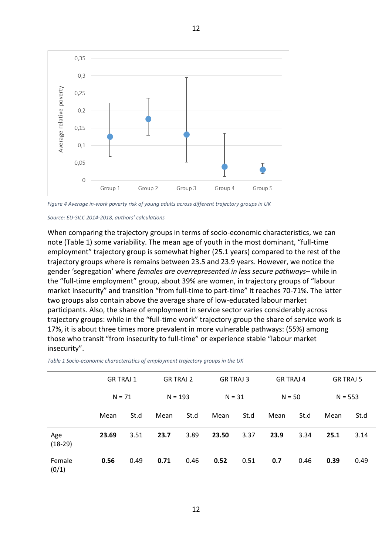

*Figure 4 Average in-work poverty risk of young adults across different trajectory groups in UK*

#### *Source: EU-SILC 2014-2018, authors' calculations*

When comparing the trajectory groups in terms of socio-economic characteristics, we can note (Table 1) some variability. The mean age of youth in the most dominant, "full-time employment" trajectory group is somewhat higher (25.1 years) compared to the rest of the trajectory groups where is remains between 23.5 and 23.9 years. However, we notice the gender 'segregation' where *females are overrepresented in less secure pathways–* while in the "full-time employment" group, about 39% are women, in trajectory groups of "labour market insecurity" and transition "from full-time to part-time" it reaches 70-71%. The latter two groups also contain above the average share of low-educated labour market participants. Also, the share of employment in service sector varies considerably across trajectory groups: while in the "full-time work" trajectory group the share of service work is 17%, it is about three times more prevalent in more vulnerable pathways: (55%) among those who transit "from insecurity to full-time" or experience stable "labour market insecurity".

|                  | <b>GR TRAJ 1</b> |      | <b>GR TRAJ 2</b> |      | <b>GR TRAJ 3</b> |      | <b>GR TRAJ 4</b> |      | GR TRAJ 5 |      |  |
|------------------|------------------|------|------------------|------|------------------|------|------------------|------|-----------|------|--|
|                  | $N = 71$         |      | $N = 193$        |      | $N = 31$         |      | $N = 50$         |      | $N = 553$ |      |  |
|                  | Mean             | St.d | Mean             | St.d | Mean             | St.d | Mean             | St.d | Mean      | St.d |  |
| Age<br>$(18-29)$ | 23.69            | 3.51 | 23.7             | 3.89 | 23.50            | 3.37 | 23.9             | 3.34 | 25.1      | 3.14 |  |
| Female<br>(0/1)  | 0.56             | 0.49 | 0.71             | 0.46 | 0.52             | 0.51 | 0.7              | 0.46 | 0.39      | 0.49 |  |

*Table 1 Socio-economic characteristics of employment trajectory groups in the UK*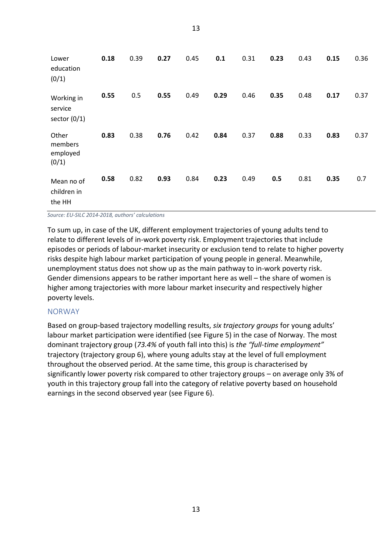| Lower<br>education<br>(0/1)             | 0.18 | 0.39 | 0.27 | 0.45 | 0.1  | 0.31 | 0.23 | 0.43 | 0.15 | 0.36 |
|-----------------------------------------|------|------|------|------|------|------|------|------|------|------|
| Working in<br>service<br>sector $(0/1)$ | 0.55 | 0.5  | 0.55 | 0.49 | 0.29 | 0.46 | 0.35 | 0.48 | 0.17 | 0.37 |
| Other<br>members<br>employed<br>(0/1)   | 0.83 | 0.38 | 0.76 | 0.42 | 0.84 | 0.37 | 0.88 | 0.33 | 0.83 | 0.37 |
| Mean no of<br>children in<br>the HH     | 0.58 | 0.82 | 0.93 | 0.84 | 0.23 | 0.49 | 0.5  | 0.81 | 0.35 | 0.7  |

*Source: EU-SILC 2014-2018, authors' calculations*

To sum up, in case of the UK, different employment trajectories of young adults tend to relate to different levels of in-work poverty risk. Employment trajectories that include episodes or periods of labour-market insecurity or exclusion tend to relate to higher poverty risks despite high labour market participation of young people in general. Meanwhile, unemployment status does not show up as the main pathway to in-work poverty risk. Gender dimensions appears to be rather important here as well – the share of women is higher among trajectories with more labour market insecurity and respectively higher poverty levels.

#### <span id="page-12-0"></span>**NORWAY**

Based on group-based trajectory modelling results, *six trajectory groups* for young adults' labour market participation were identified (see Figure 5) in the case of Norway. The most dominant trajectory group (*73.4%* of youth fall into this) is *the "full-time employment"* trajectory (trajectory group 6), where young adults stay at the level of full employment throughout the observed period. At the same time, this group is characterised by significantly lower poverty risk compared to other trajectory groups – on average only 3% of youth in this trajectory group fall into the category of relative poverty based on household earnings in the second observed year (see Figure 6).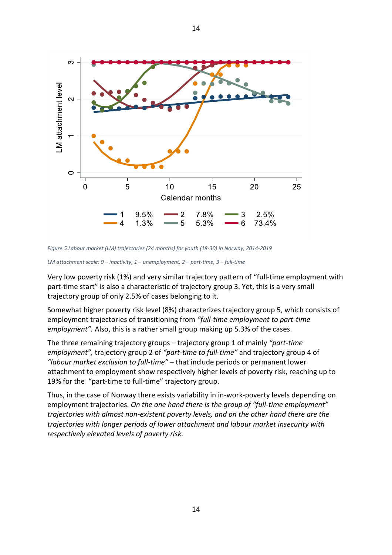

*Figure 5 Labour market (LM) trajectories (24 months) for youth (18-30) in Norway, 2014-2019* 

*LM attachment scale: 0 – inactivity, 1 – unemployment, 2 – part-time, 3 – full-time*

Very low poverty risk (1%) and very similar trajectory pattern of "full-time employment with part-time start" is also a characteristic of trajectory group 3. Yet, this is a very small trajectory group of only 2.5% of cases belonging to it.

Somewhat higher poverty risk level (8%) characterizes trajectory group 5, which consists of employment trajectories of transitioning from *"full-time employment to part-time employment".* Also, this is a rather small group making up 5.3% of the cases.

The three remaining trajectory groups – trajectory group 1 of mainly *"part-time employment",* trajectory group 2 of *"part-time to full-time"* and trajectory group 4 of *"labour market exclusion to full-time"* – that include periods or permanent lower attachment to employment show respectively higher levels of poverty risk, reaching up to 19% for the "part-time to full-time" trajectory group.

Thus, in the case of Norway there exists variability in in-work-poverty levels depending on employment trajectories. *On the one hand there is the group of "full-time employment" trajectories with almost non-existent poverty levels, and on the other hand there are the trajectories with longer periods of lower attachment and labour market insecurity with respectively elevated levels of poverty risk.*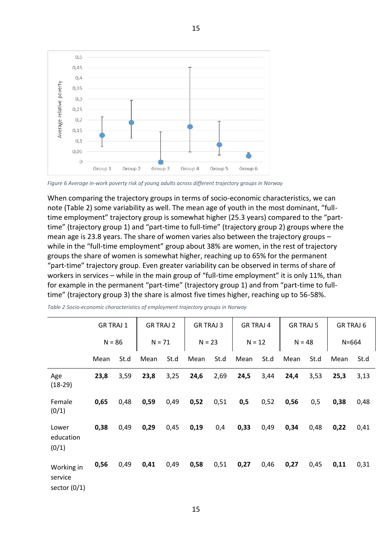

*Figure 6 Average in-work poverty risk of young adults across different trajectory groups in Norway*

When comparing the trajectory groups in terms of socio-economic characteristics, we can note (Table 2) some variability as well. The mean age of youth in the most dominant, "fulltime employment" trajectory group is somewhat higher (25.3 years) compared to the "parttime" (trajectory group 1) and "part-time to full-time" (trajectory group 2) groups where the mean age is 23.8 years. The share of women varies also between the trajectory groups – while in the "full-time employment" group about 38% are women, in the rest of trajectory groups the share of women is somewhat higher, reaching up to 65% for the permanent "part-time" trajectory group. Even greater variability can be observed in terms of share of workers in services – while in the main group of "full-time employment" it is only 11%, than for example in the permanent "part-time" (trajectory group 1) and from "part-time to fulltime" (trajectory group 3) the share is almost five times higher, reaching up to 56-58%.

|                                         | <b>GR TRAJ 1</b><br>$N = 86$ |      | <b>GR TRAJ 2</b><br>$N = 71$ |      |          | <b>GR TRAJ 3</b> |          | <b>GR TRAJ 4</b> |          | <b>GR TRAJ 5</b> |           | GR TRAJ 6 |
|-----------------------------------------|------------------------------|------|------------------------------|------|----------|------------------|----------|------------------|----------|------------------|-----------|-----------|
|                                         |                              |      |                              |      | $N = 23$ |                  | $N = 12$ |                  | $N = 48$ |                  | $N = 664$ |           |
|                                         | Mean                         | St.d | Mean                         | St.d | Mean     | St.d             | Mean     | St.d             | Mean     | St.d             | Mean      | St.d      |
| Age<br>$(18-29)$                        | 23,8                         | 3,59 | 23,8                         | 3,25 | 24,6     | 2,69             | 24,5     | 3,44             | 24,4     | 3,53             | 25,3      | 3,13      |
| Female<br>(0/1)                         | 0,65                         | 0,48 | 0,59                         | 0,49 | 0,52     | 0,51             | 0,5      | 0,52             | 0,56     | 0,5              | 0,38      | 0,48      |
| Lower<br>education<br>(0/1)             | 0,38                         | 0,49 | 0,29                         | 0,45 | 0,19     | 0,4              | 0,33     | 0,49             | 0,34     | 0,48             | 0,22      | 0,41      |
| Working in<br>service<br>sector $(0/1)$ | 0,56                         | 0,49 | 0,41                         | 0,49 | 0,58     | 0,51             | 0,27     | 0,46             | 0,27     | 0,45             | 0,11      | 0,31      |

*Table 2 Socio-economic characteristics of employment trajectory groups in Norway*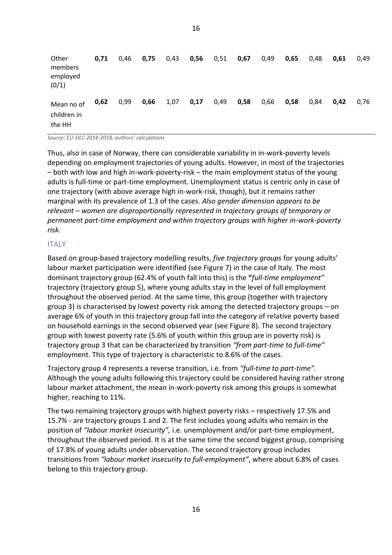**Other** members employed (0/1) **0,71** 0,46 **0,75** 0,43 **0,56** 0,51 **0,67** 0,49 **0,65** 0,48 **0,61** 0,49 Mean no of children in the HH **0,62** 0,99 **0,66** 1,07 **0,17** 0,49 **0,58** 0,66 **0,58** 0,84 **0,42** 0,76

#### *Source: EU-SILC 2014-2018, authors' calculations*

Thus, also in case of Norway, there can considerable variability in in-work-poverty levels depending on employment trajectories of young adults. However, in most of the trajectories – both with low and high in-work-poverty-risk – the main employment status of the young adults is full-time or part-time employment. Unemployment status is centric only in case of one trajectory (with above average high in-work-risk, though), but it remains rather marginal with its prevalence of 1.3 of the cases. *Also gender dimension appears to be relevant – women are disproportionally represented in trajectory groups of temporary or permanent part-time employment and within trajectory groups with higher in-work-poverty risk.* 

#### <span id="page-15-0"></span>ITALY

Based on group-based trajectory modelling results, *five trajectory groups* for young adults' labour market participation were identified (see Figure 7) in the case of Italy. The most dominant trajectory group (62.4% of youth fall into this) is the **"***full-time employment"* trajectory (trajectory group 5), where young adults stay in the level of full employment throughout the observed period. At the same time, this group (together with trajectory group 3) is characterised by lowest poverty risk among the detected trajectory groups – on average 6% of youth in this trajectory group fall into the category of relative poverty based on household earnings in the second observed year (see Figure 8). The second trajectory group with lowest poverty rate (5.6% of youth within this group are in poverty risk) is trajectory group 3 that can be characterized by transition *"from part-time to full-time"* employment. This type of trajectory is characteristic to 8.6% of the cases.

Trajectory group 4 represents a reverse transition, i.e. from *"full-time to part-time".* Although the young adults following this trajectory could be considered having rather strong labour market attachment, the mean in-work-poverty risk among this groups is somewhat higher, reaching to 11%.

The two remaining trajectory groups with highest poverty risks – respectively 17.5% and 15.7% - are trajectory groups 1 and 2. The first includes young adults who remain in the position of *"labour market insecurity",* i.e. unemployment and/or part-time employment, throughout the observed period. It is at the same time the second biggest group, comprising of 17.8% of young adults under observation. The second trajectory group includes transitions from *"labour market insecurity to full-employment"*, where about 6.8% of cases belong to this trajectory group.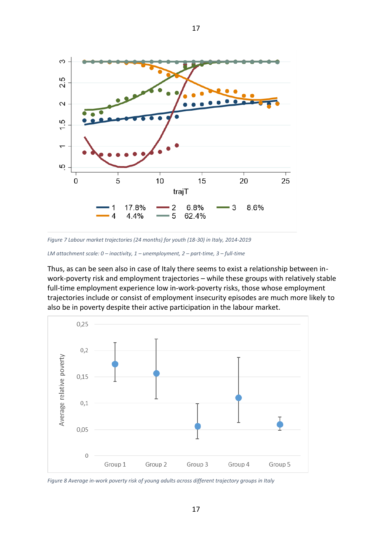

*Figure 7 Labour market trajectories (24 months) for youth (18-30) in Italy, 2014-2019*

Thus, as can be seen also in case of Italy there seems to exist a relationship between inwork-poverty risk and employment trajectories – while these groups with relatively stable full-time employment experience low in-work-poverty risks, those whose employment trajectories include or consist of employment insecurity episodes are much more likely to also be in poverty despite their active participation in the labour market.



*Figure 8 Average in-work poverty risk of young adults across different trajectory groups in Italy*

*LM attachment scale: 0 – inactivity, 1 – unemployment, 2 – part-time, 3 – full-time*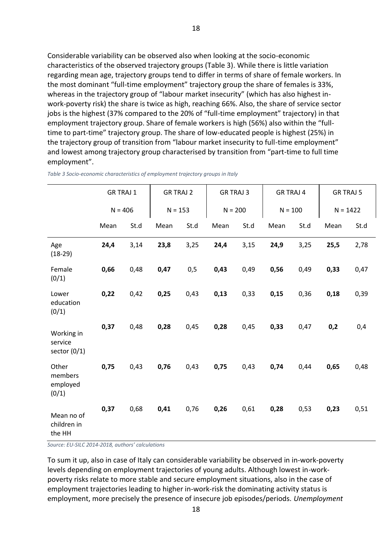Considerable variability can be observed also when looking at the socio-economic characteristics of the observed trajectory groups (Table 3). While there is little variation regarding mean age, trajectory groups tend to differ in terms of share of female workers. In the most dominant "full-time employment" trajectory group the share of females is 33%, whereas in the trajectory group of "labour market insecurity" (which has also highest inwork-poverty risk) the share is twice as high, reaching 66%. Also, the share of service sector jobs is the highest (37% compared to the 20% of "full-time employment" trajectory) in that employment trajectory group. Share of female workers is high (56%) also within the "fulltime to part-time" trajectory group. The share of low-educated people is highest (25%) in the trajectory group of transition from "labour market insecurity to full-time employment" and lowest among trajectory group characterised by transition from "part-time to full time employment".

|                                         | <b>GR TRAJ 1</b> |      | <b>GR TRAJ 2</b> |      | <b>GR TRAJ 3</b> |      | <b>GR TRAJ 4</b> |      | <b>GR TRAJ 5</b> |      |  |
|-----------------------------------------|------------------|------|------------------|------|------------------|------|------------------|------|------------------|------|--|
|                                         | $N = 406$        |      | $N = 153$        |      | $N = 200$        |      | $N = 100$        |      | $N = 1422$       |      |  |
|                                         | Mean             | St.d | Mean             | St.d | Mean             | St.d | Mean             | St.d | Mean             | St.d |  |
| Age<br>$(18-29)$                        | 24,4             | 3,14 | 23,8             | 3,25 | 24,4             | 3,15 | 24,9             | 3,25 | 25,5             | 2,78 |  |
| Female<br>(0/1)                         | 0,66             | 0,48 | 0,47             | 0,5  | 0,43             | 0,49 | 0,56             | 0,49 | 0,33             | 0,47 |  |
| Lower<br>education<br>(0/1)             | 0,22             | 0,42 | 0,25             | 0,43 | 0,13             | 0,33 | 0,15             | 0,36 | 0,18             | 0,39 |  |
| Working in<br>service<br>sector $(0/1)$ | 0,37             | 0,48 | 0,28             | 0,45 | 0,28             | 0,45 | 0,33             | 0,47 | 0,2              | 0,4  |  |
| Other<br>members<br>employed<br>(0/1)   | 0,75             | 0,43 | 0,76             | 0,43 | 0,75             | 0,43 | 0,74             | 0,44 | 0,65             | 0,48 |  |
| Mean no of<br>children in<br>the HH     | 0,37             | 0,68 | 0,41             | 0,76 | 0,26             | 0,61 | 0,28             | 0,53 | 0,23             | 0,51 |  |

*Table 3 Socio-economic characteristics of employment trajectory groups in Italy*

*Source: EU-SILC 2014-2018, authors' calculations*

To sum it up, also in case of Italy can considerable variability be observed in in-work-poverty levels depending on employment trajectories of young adults. Although lowest in-workpoverty risks relate to more stable and secure employment situations, also in the case of employment trajectories leading to higher in-work-risk the dominating activity status is employment, more precisely the presence of insecure job episodes/periods. *Unemployment*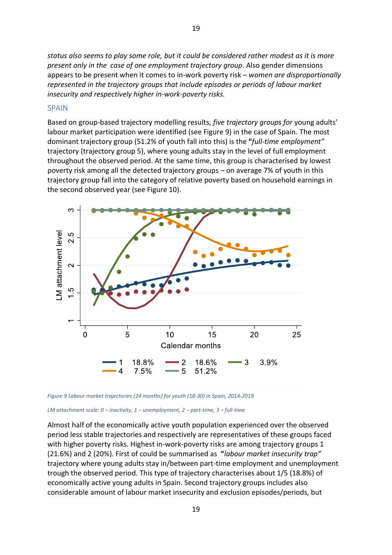*status also seems to play some role, but it could be considered rather modest as it is more present only in the case of one employment trajectory group*. Also gender dimensions appears to be present when it comes to in-work poverty risk – *women are disproportionally represented in the trajectory groups that include episodes or periods of labour market insecurity and respectively higher in-work-poverty risks.*

#### <span id="page-18-0"></span>SPAIN

Based on group-based trajectory modelling results, *five trajectory groups for* young adults' labour market participation were identified (see Figure 9) in the case of Spain. The most dominant trajectory group (51.2% of youth fall into this) is the **"***full-time employment"* trajectory (trajectory group 5), where young adults stay in the level of full employment throughout the observed period. At the same time, this group is characterised by lowest poverty risk among all the detected trajectory groups – on average 7% of youth in this trajectory group fall into the category of relative poverty based on household earnings in the second observed year (see Figure 10).



*Figure 9 Labour market trajectories (24 months) for youth (18-30) in Spain, 2014-2019* 

*LM attachment scale: 0 – inactivity, 1 – unemployment, 2 – part-time, 3 – full-time*

Almost half of the economically active youth population experienced over the observed period less stable trajectories and respectively are representatives of these groups faced with higher poverty risks. Highest in-work-poverty risks are among trajectory groups 1 (21.6%) and 2 (20%). First of could be summarised as **"***labour market insecurity trap"*  trajectory where young adults stay in/between part-time employment and unemployment trough the observed period. This type of trajectory characterises about 1/5 (18.8%) of economically active young adults in Spain. Second trajectory groups includes also considerable amount of labour market insecurity and exclusion episodes/periods, but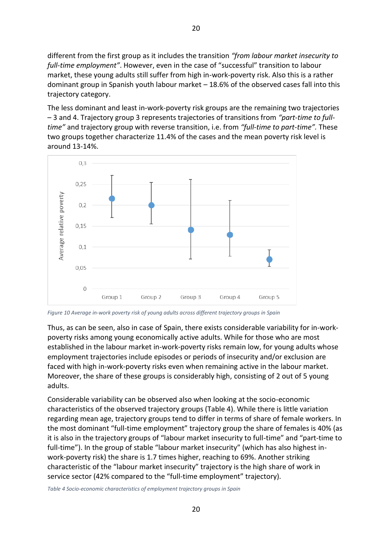different from the first group as it includes the transition *"from labour market insecurity to full-time employment"*. However, even in the case of "successful" transition to labour market, these young adults still suffer from high in-work-poverty risk. Also this is a rather dominant group in Spanish youth labour market – 18.6% of the observed cases fall into this trajectory category.

The less dominant and least in-work-poverty risk groups are the remaining two trajectories – 3 and 4. Trajectory group 3 represents trajectories of transitions from *"part-time to fulltime"* and trajectory group with reverse transition, i.e. from *"full-time to part-time".* These two groups together characterize 11.4% of the cases and the mean poverty risk level is around 13-14%.



*Figure 10 Average in-work poverty risk of young adults across different trajectory groups in Spain*

Thus, as can be seen, also in case of Spain, there exists considerable variability for in-workpoverty risks among young economically active adults. While for those who are most established in the labour market in-work-poverty risks remain low, for young adults whose employment trajectories include episodes or periods of insecurity and/or exclusion are faced with high in-work-poverty risks even when remaining active in the labour market. Moreover, the share of these groups is considerably high, consisting of 2 out of 5 young adults.

Considerable variability can be observed also when looking at the socio-economic characteristics of the observed trajectory groups (Table 4). While there is little variation regarding mean age, trajectory groups tend to differ in terms of share of female workers. In the most dominant "full-time employment" trajectory group the share of females is 40% (as it is also in the trajectory groups of "labour market insecurity to full-time" and "part-time to full-time"). In the group of stable "labour market insecurity" (which has also highest inwork-poverty risk) the share is 1.7 times higher, reaching to 69%. Another striking characteristic of the "labour market insecurity" trajectory is the high share of work in service sector (42% compared to the "full-time employment" trajectory).

*Table 4 Socio-economic characteristics of employment trajectory groups in Spain*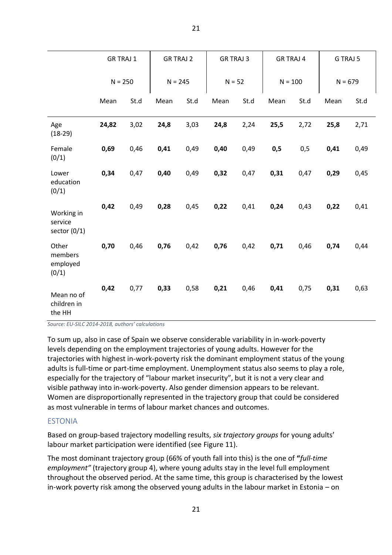|                                         | <b>GR TRAJ 1</b> |      | <b>GR TRAJ 2</b> |      | <b>GR TRAJ 3</b> |      | <b>GR TRAJ 4</b> |      | G TRAJ 5  |      |
|-----------------------------------------|------------------|------|------------------|------|------------------|------|------------------|------|-----------|------|
|                                         | $N = 250$        |      | $N = 245$        |      | $N = 52$         |      | $N = 100$        |      | $N = 679$ |      |
|                                         | Mean             | St.d | Mean             | St.d | Mean             | St.d | Mean             | St.d | Mean      | St.d |
| Age<br>$(18-29)$                        | 24,82            | 3,02 | 24,8             | 3,03 | 24,8             | 2,24 | 25,5             | 2,72 | 25,8      | 2,71 |
| Female<br>(0/1)                         | 0,69             | 0,46 | 0,41             | 0,49 | 0,40             | 0,49 | 0,5              | 0,5  | 0,41      | 0,49 |
| Lower<br>education<br>(0/1)             | 0,34             | 0,47 | 0,40             | 0,49 | 0,32             | 0,47 | 0,31             | 0,47 | 0,29      | 0,45 |
| Working in<br>service<br>sector $(0/1)$ | 0,42             | 0,49 | 0,28             | 0,45 | 0,22             | 0,41 | 0,24             | 0,43 | 0,22      | 0,41 |
| Other<br>members<br>employed<br>(0/1)   | 0,70             | 0,46 | 0,76             | 0,42 | 0,76             | 0,42 | 0,71             | 0,46 | 0,74      | 0,44 |
| Mean no of<br>children in<br>the HH     | 0,42             | 0,77 | 0,33             | 0,58 | 0,21             | 0,46 | 0,41             | 0,75 | 0,31      | 0,63 |

*Source: EU-SILC 2014-2018, authors' calculations*

To sum up, also in case of Spain we observe considerable variability in in-work-poverty levels depending on the employment trajectories of young adults. However for the trajectories with highest in-work-poverty risk the dominant employment status of the young adults is full-time or part-time employment. Unemployment status also seems to play a role, especially for the trajectory of "labour market insecurity", but it is not a very clear and visible pathway into in-work-poverty. Also gender dimension appears to be relevant. Women are disproportionally represented in the trajectory group that could be considered as most vulnerable in terms of labour market chances and outcomes.

#### <span id="page-20-0"></span>ESTONIA

Based on group-based trajectory modelling results, *six trajectory groups* for young adults' labour market participation were identified (see Figure 11).

The most dominant trajectory group (66% of youth fall into this) is the one of **"***full-time employment"* (trajectory group 4), where young adults stay in the level full employment throughout the observed period. At the same time, this group is characterised by the lowest in-work poverty risk among the observed young adults in the labour market in Estonia – on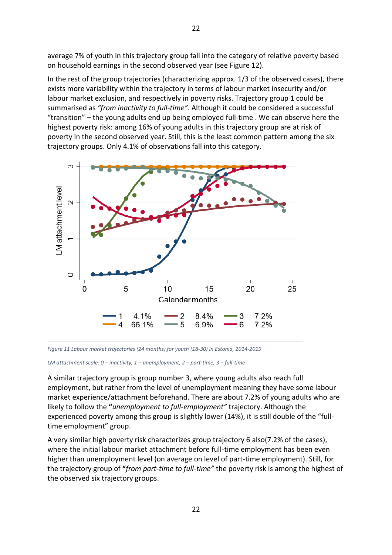average 7% of youth in this trajectory group fall into the category of relative poverty based on household earnings in the second observed year (see Figure 12).

In the rest of the group trajectories (characterizing approx. 1/3 of the observed cases), there exists more variability within the trajectory in terms of labour market insecurity and/or labour market exclusion, and respectively in poverty risks. Trajectory group 1 could be summarised as *"from inactivity to full-time".* Although it could be considered a successful "transition" – the young adults end up being employed full-time . We can observe here the highest poverty risk: among 16% of young adults in this trajectory group are at risk of poverty in the second observed year. Still, this is the least common pattern among the six trajectory groups. Only 4.1% of observations fall into this category.



*Figure 11 Labour market trajectories (24 months) for youth (18-30) in Estonia, 2014-2019* 

*LM attachment scale: 0 – inactivity, 1 – unemployment, 2 – part-time, 3 – full-time*

A similar trajectory group is group number 3, where young adults also reach full employment, but rather from the level of unemployment meaning they have some labour market experience/attachment beforehand. There are about 7.2% of young adults who are likely to follow the **"***unemployment to full-employment"* trajectory. Although the experienced poverty among this group is slightly lower (14%), it is still double of the "fulltime employment" group.

A very similar high poverty risk characterizes group trajectory 6 also(7.2% of the cases), where the initial labour market attachment before full-time employment has been even higher than unemployment level (on average on level of part-time employment). Still, for the trajectory group of **"***from part-time to full-time"* the poverty risk is among the highest of the observed six trajectory groups.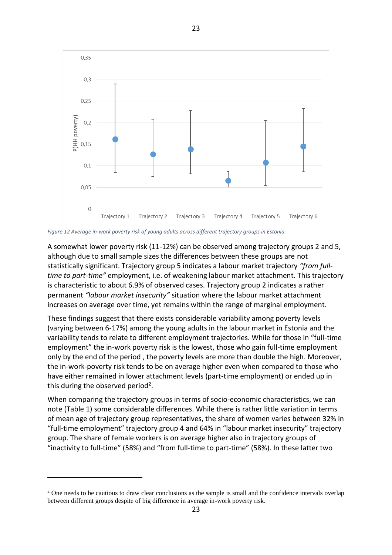

23

*Figure 12 Average in-work poverty risk of young adults across different trajectory groups in Estonia.* 

A somewhat lower poverty risk (11-12%) can be observed among trajectory groups 2 and 5, although due to small sample sizes the differences between these groups are not statistically significant. Trajectory group 5 indicates a labour market trajectory *"from fulltime to part-time"* employment, i.e. of weakening labour market attachment. This trajectory is characteristic to about 6.9% of observed cases. Trajectory group 2 indicates a rather permanent *"labour market insecurity"* situation where the labour market attachment increases on average over time, yet remains within the range of marginal employment.

These findings suggest that there exists considerable variability among poverty levels (varying between 6-17%) among the young adults in the labour market in Estonia and the variability tends to relate to different employment trajectories. While for those in "full-time employment" the in-work poverty risk is the lowest, those who gain full-time employment only by the end of the period , the poverty levels are more than double the high. Moreover, the in-work-poverty risk tends to be on average higher even when compared to those who have either remained in lower attachment levels (part-time employment) or ended up in this during the observed period<sup>2</sup>.

When comparing the trajectory groups in terms of socio-economic characteristics, we can note (Table 1) some considerable differences. While there is rather little variation in terms of mean age of trajectory group representatives, the share of women varies between 32% in "full-time employment" trajectory group 4 and 64% in "labour market insecurity" trajectory group. The share of female workers is on average higher also in trajectory groups of "inactivity to full-time" (58%) and "from full-time to part-time" (58%). In these latter two

<sup>&</sup>lt;sup>2</sup> One needs to be cautious to draw clear conclusions as the sample is small and the confidence intervals overlap between different groups despite of big difference in average in-work poverty risk.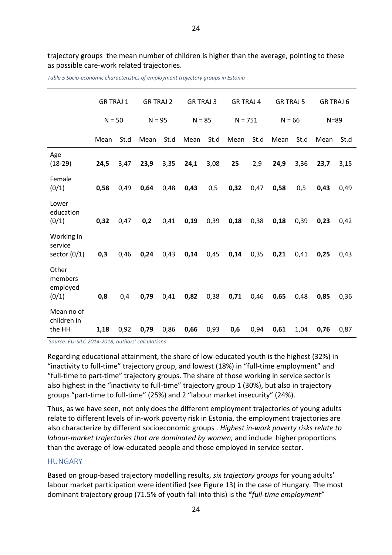trajectory groups the mean number of children is higher than the average, pointing to these as possible care-work related trajectories.

|                                         | <b>GR TRAJ 1</b> |      | <b>GR TRAJ 2</b> |      |          | <b>GR TRAJ 3</b> |           | <b>GR TRAJ 4</b> |          | <b>GR TRAJ 5</b> |          | GR TRAJ 6 |
|-----------------------------------------|------------------|------|------------------|------|----------|------------------|-----------|------------------|----------|------------------|----------|-----------|
|                                         | $N = 50$         |      | $N = 95$         |      | $N = 85$ |                  | $N = 751$ |                  | $N = 66$ |                  | $N = 89$ |           |
|                                         | Mean             | St.d | Mean             | St.d | Mean     | St.d             | Mean      | St.d             | Mean     | St.d             | Mean     | St.d      |
| Age<br>$(18-29)$                        | 24,5             | 3,47 | 23,9             | 3,35 | 24,1     | 3,08             | 25        | 2,9              | 24,9     | 3,36             | 23,7     | 3,15      |
| Female<br>(0/1)                         | 0,58             | 0,49 | 0,64             | 0,48 | 0,43     | 0,5              | 0,32      | 0,47             | 0,58     | 0,5              | 0,43     | 0,49      |
| Lower<br>education<br>(0/1)             | 0,32             | 0,47 | 0,2              | 0,41 | 0,19     | 0,39             | 0,18      | 0,38             | 0,18     | 0,39             | 0,23     | 0,42      |
| Working in<br>service<br>sector $(0/1)$ | 0,3              | 0,46 | 0,24             | 0,43 | 0,14     | 0,45             | 0,14      | 0,35             | 0,21     | 0,41             | 0,25     | 0,43      |
| Other<br>members<br>employed<br>(0/1)   | 0,8              | 0,4  | 0,79             | 0,41 | 0,82     | 0,38             | 0,71      | 0,46             | 0,65     | 0,48             | 0,85     | 0,36      |
| Mean no of<br>children in<br>the HH     | 1,18             | 0,92 | 0,79             | 0,86 | 0,66     | 0,93             | 0,6       | 0,94             | 0,61     | 1,04             | 0,76     | 0,87      |

*Table 5 Socio-economic characteristics of employment trajectory groups in Estonia*

*Source: EU-SILC 2014-2018, authors' calculations*

Regarding educational attainment, the share of low-educated youth is the highest (32%) in "inactivity to full-time" trajectory group, and lowest (18%) in "full-time employment" and "full-time to part-time" trajectory groups. The share of those working in service sector is also highest in the "inactivity to full-time" trajectory group 1 (30%), but also in trajectory groups "part-time to full-time" (25%) and 2 "labour market insecurity" (24%).

Thus, as we have seen, not only does the different employment trajectories of young adults relate to different levels of in-work poverty risk in Estonia, the employment trajectories are also characterize by different socioeconomic groups . *Highest in-work poverty risks relate to labour-market trajectories that are dominated by women,* and include higher proportions than the average of low-educated people and those employed in service sector.

#### <span id="page-23-0"></span>HUNGARY

Based on group-based trajectory modelling results, *six trajectory groups* for young adults' labour market participation were identified (see Figure 13) in the case of Hungary. The most dominant trajectory group (71.5% of youth fall into this) is the **"***full-time employment"*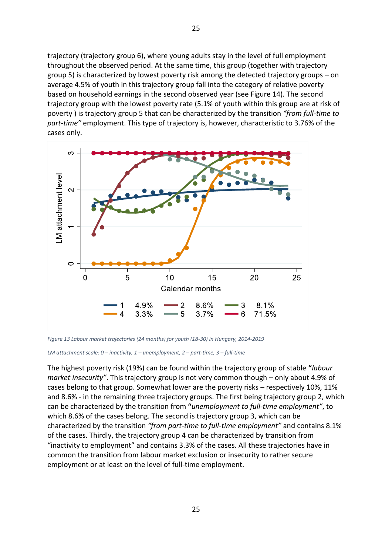trajectory (trajectory group 6), where young adults stay in the level of full employment throughout the observed period. At the same time, this group (together with trajectory group 5) is characterized by lowest poverty risk among the detected trajectory groups – on average 4.5% of youth in this trajectory group fall into the category of relative poverty based on household earnings in the second observed year (see Figure 14). The second trajectory group with the lowest poverty rate (5.1% of youth within this group are at risk of poverty ) is trajectory group 5 that can be characterized by the transition *"from full-time to part-time"* employment. This type of trajectory is, however, characteristic to 3.76% of the cases only.



*Figure 13 Labour market trajectories (24 months) for youth (18-30) in Hungary, 2014-2019*

*LM attachment scale: 0 – inactivity, 1 – unemployment, 2 – part-time, 3 – full-time*

The highest poverty risk (19%) can be found within the trajectory group of stable **"***labour market insecurity"*. This trajectory group is not very common though – only about 4.9% of cases belong to that group. Somewhat lower are the poverty risks – respectively 10%, 11% and 8.6% - in the remaining three trajectory groups. The first being trajectory group 2, which can be characterized by the transition from **"***unemployment to full-time employment"*, to which 8.6% of the cases belong. The second is trajectory group 3, which can be characterized by the transition *"from part-time to full-time employment"* and contains 8.1% of the cases. Thirdly, the trajectory group 4 can be characterized by transition from "inactivity to employment" and contains 3.3% of the cases. All these trajectories have in common the transition from labour market exclusion or insecurity to rather secure employment or at least on the level of full-time employment.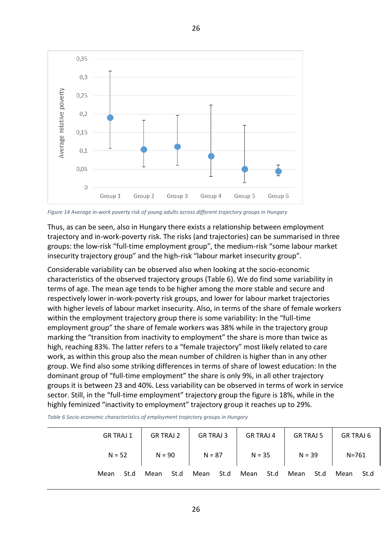

*Figure 14 Average in-work poverty risk of young adults across different trajectory groups in Hungary*

Thus, as can be seen, also in Hungary there exists a relationship between employment trajectory and in-work-poverty risk. The risks (and trajectories) can be summarised in three groups: the low-risk "full-time employment group", the medium-risk "some labour market insecurity trajectory group" and the high-risk "labour market insecurity group".

Considerable variability can be observed also when looking at the socio-economic characteristics of the observed trajectory groups (Table 6). We do find some variability in terms of age. The mean age tends to be higher among the more stable and secure and respectively lower in-work-poverty risk groups, and lower for labour market trajectories with higher levels of labour market insecurity. Also, in terms of the share of female workers within the employment trajectory group there is some variability: In the "full-time employment group" the share of female workers was 38% while in the trajectory group marking the "transition from inactivity to employment" the share is more than twice as high, reaching 83%. The latter refers to a "female trajectory" most likely related to care work, as within this group also the mean number of children is higher than in any other group. We find also some striking differences in terms of share of lowest education: In the dominant group of "full-time employment" the share is only 9%, in all other trajectory groups it is between 23 and 40%. Less variability can be observed in terms of work in service sector. Still, in the "full-time employment" trajectory group the figure is 18%, while in the highly feminized "inactivity to employment" trajectory group it reaches up to 29%.

*Table 6 Socio-economic characteristics of employment trajectory groups in Hungary*

| <b>GR TRAJ 1</b> | <b>GR TRAJ 2</b> | GR TRAJ 3    | <b>GR TRAJ 4</b> | <b>GR TRAJ 5</b> | GR TRAJ 6     |  |  |
|------------------|------------------|--------------|------------------|------------------|---------------|--|--|
| $N = 52$         | $N = 90$         | $N = 87$     | $N = 35$         | $N = 39$         | $N = 761$     |  |  |
| St.d<br>Mean     | St.d<br>Mean     | St.d<br>Mean | Mean<br>St.d     | Mean<br>St.d     | Mean<br>-St.d |  |  |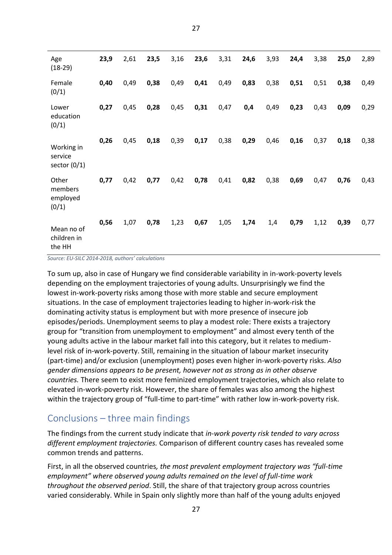| Age<br>$(18-29)$                        | 23,9 | 2,61 | 23,5 | 3,16 | 23,6 | 3,31 | 24,6 | 3,93 | 24,4 | 3,38 | 25,0 | 2,89 |
|-----------------------------------------|------|------|------|------|------|------|------|------|------|------|------|------|
| Female<br>(0/1)                         | 0,40 | 0,49 | 0,38 | 0,49 | 0,41 | 0,49 | 0,83 | 0,38 | 0,51 | 0,51 | 0,38 | 0,49 |
| Lower<br>education<br>(0/1)             | 0,27 | 0,45 | 0,28 | 0,45 | 0,31 | 0,47 | 0,4  | 0,49 | 0,23 | 0,43 | 0,09 | 0,29 |
| Working in<br>service<br>sector $(0/1)$ | 0,26 | 0,45 | 0,18 | 0,39 | 0,17 | 0,38 | 0,29 | 0,46 | 0,16 | 0,37 | 0,18 | 0,38 |
| Other<br>members<br>employed<br>(0/1)   | 0,77 | 0,42 | 0,77 | 0,42 | 0,78 | 0,41 | 0,82 | 0,38 | 0,69 | 0,47 | 0,76 | 0,43 |
| Mean no of<br>children in<br>the HH     | 0,56 | 1,07 | 0,78 | 1,23 | 0,67 | 1,05 | 1,74 | 1,4  | 0,79 | 1,12 | 0,39 | 0,77 |

27

*Source: EU-SILC 2014-2018, authors' calculations*

To sum up, also in case of Hungary we find considerable variability in in-work-poverty levels depending on the employment trajectories of young adults. Unsurprisingly we find the lowest in-work-poverty risks among those with more stable and secure employment situations. In the case of employment trajectories leading to higher in-work-risk the dominating activity status is employment but with more presence of insecure job episodes/periods. Unemployment seems to play a modest role: There exists a trajectory group for "transition from unemployment to employment" and almost every tenth of the young adults active in the labour market fall into this category, but it relates to mediumlevel risk of in-work-poverty. Still, remaining in the situation of labour market insecurity (part-time) and/or exclusion (unemployment) poses even higher in-work-poverty risks. *Also gender dimensions appears to be present, however not as strong as in other observe countries.* There seem to exist more feminized employment trajectories, which also relate to elevated in-work-poverty risk. However, the share of females was also among the highest within the trajectory group of "full-time to part-time" with rather low in-work-poverty risk.

## <span id="page-26-0"></span>Conclusions – three main findings

The findings from the current study indicate that *in-work poverty risk tended to vary across different employment trajectories.* Comparison of different country cases has revealed some common trends and patterns.

First, in all the observed countries*, the most prevalent employment trajectory was "full-time employment" where observed young adults remained on the level of full-time work throughout the observed period*. Still, the share of that trajectory group across countries varied considerably. While in Spain only slightly more than half of the young adults enjoyed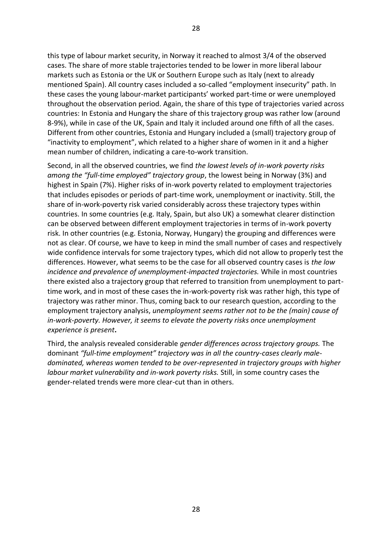this type of labour market security, in Norway it reached to almost 3/4 of the observed cases. The share of more stable trajectories tended to be lower in more liberal labour markets such as Estonia or the UK or Southern Europe such as Italy (next to already mentioned Spain). All country cases included a so-called "employment insecurity" path. In these cases the young labour-market participants' worked part-time or were unemployed throughout the observation period. Again, the share of this type of trajectories varied across countries: In Estonia and Hungary the share of this trajectory group was rather low (around 8-9%), while in case of the UK, Spain and Italy it included around one fifth of all the cases. Different from other countries, Estonia and Hungary included a (small) trajectory group of "inactivity to employment", which related to a higher share of women in it and a higher mean number of children, indicating a care-to-work transition.

Second, in all the observed countries, we find *the lowest levels of in-work poverty risks among the "full-time employed" trajectory group*, the lowest being in Norway (3%) and highest in Spain (7%). Higher risks of in-work poverty related to employment trajectories that includes episodes or periods of part-time work, unemployment or inactivity. Still, the share of in-work-poverty risk varied considerably across these trajectory types within countries. In some countries (e.g. Italy, Spain, but also UK) a somewhat clearer distinction can be observed between different employment trajectories in terms of in-work poverty risk. In other countries (e.g. Estonia, Norway, Hungary) the grouping and differences were not as clear. Of course, we have to keep in mind the small number of cases and respectively wide confidence intervals for some trajectory types, which did not allow to properly test the differences. However, what seems to be the case for all observed country cases is *the low incidence and prevalence of unemployment-impacted trajectories.* While in most countries there existed also a trajectory group that referred to transition from unemployment to parttime work, and in most of these cases the in-work-poverty risk was rather high, this type of trajectory was rather minor. Thus, coming back to our research question, according to the employment trajectory analysis, *unemployment seems rather not to be the (main) cause of in-work-poverty. However, it seems to elevate the poverty risks once unemployment experience is present***.**

Third, the analysis revealed considerable *gender differences across trajectory groups.* The dominant *"full-time employment" trajectory was in all the country-cases clearly maledominated, whereas women tended to be over-represented in trajectory groups with higher labour market vulnerability and in-work poverty risks.* Still, in some country cases the gender-related trends were more clear-cut than in others.